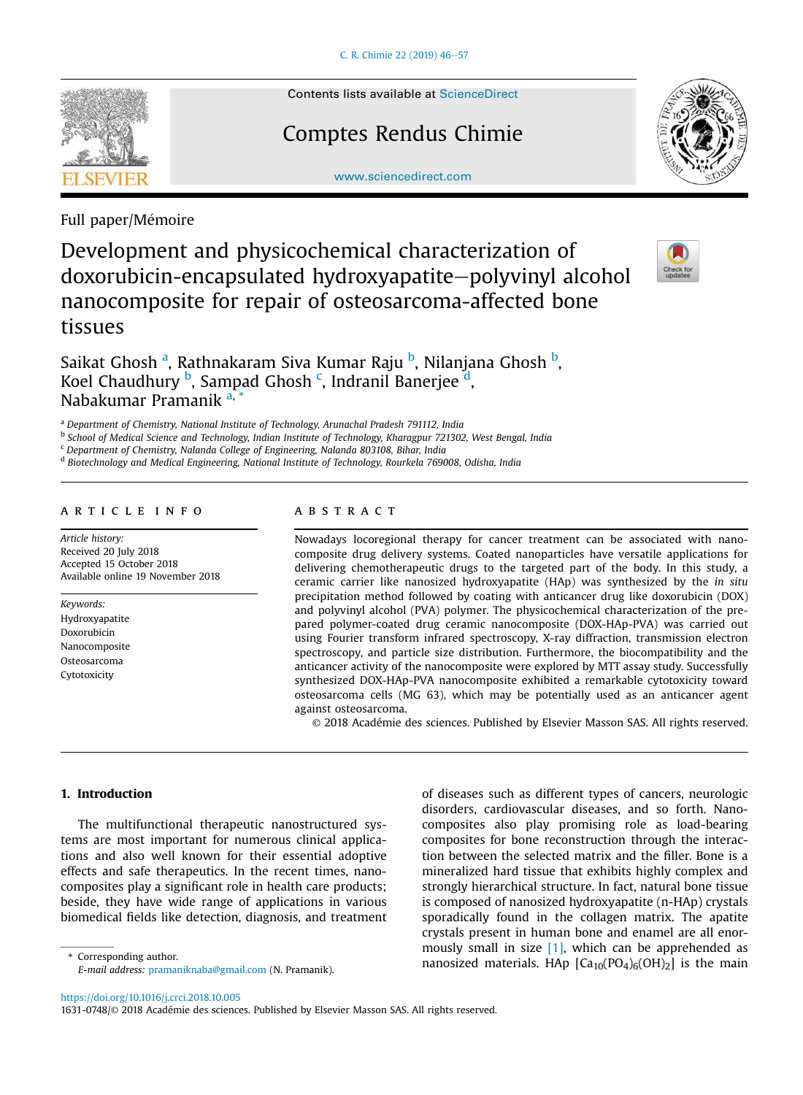Contents lists available at ScienceDirect

# Comptes Rendus Chimie

www.sciencedirect.com

Full paper/Mémoire

Development and physicochemical characterization of doxorubicin-encapsulated hydroxyapatite-polyvinyl alcohol nanocomposite for repair of osteosarcoma-affected bone tissues

Saikat Ghosh <sup>a</sup>, Rathnakaram Siva Kumar Raju <sup>b</sup>, Nilanjana Ghosh <sup>b</sup>, Koel Chaudhury <sup>b</sup>, Sampad Ghosh <sup>c</sup>, Indranil Banerjee <sup>d</sup>, Nabakumar Pramanik a,

<sup>a</sup> *Department of Chemistry, National Institute of Technology, Arunachal Pradesh 791112, India*

b *School of Medical Science and Technology, Indian Institute of Technology, Kharagpur 721302, West Bengal, India*

<sup>c</sup> *Department of Chemistry, Nalanda College of Engineering, Nalanda 803108, Bihar, India*

d *Biotechnology and Medical Engineering, National Institute of Technology, Rourkela 769008, Odisha, India*

#### article info

*Article history:* Received 20 July 2018 Accepted 15 October 2018 Available online 19 November 2018

*Keywords:* Hydroxyapatite Doxorubicin Nanocomposite Osteosarcoma Cytotoxicity

# **ABSTRACT**

Nowadays locoregional therapy for cancer treatment can be associated with nanocomposite drug delivery systems. Coated nanoparticles have versatile applications for delivering chemotherapeutic drugs to the targeted part of the body. In this study, a ceramic carrier like nanosized hydroxyapatite (HAp) was synthesized by the *in situ* precipitation method followed by coating with anticancer drug like doxorubicin (DOX) and polyvinyl alcohol (PVA) polymer. The physicochemical characterization of the prepared polymer-coated drug ceramic nanocomposite (DOX-HAp-PVA) was carried out using Fourier transform infrared spectroscopy, X-ray diffraction, transmission electron spectroscopy, and particle size distribution. Furthermore, the biocompatibility and the anticancer activity of the nanocomposite were explored by MTT assay study. Successfully synthesized DOX-HAp-PVA nanocomposite exhibited a remarkable cytotoxicity toward osteosarcoma cells (MG 63), which may be potentially used as an anticancer agent against osteosarcoma.

© 2018 Académie des sciences. Published by Elsevier Masson SAS. All rights reserved.

# 1. Introduction

The multifunctional therapeutic nanostructured systems are most important for numerous clinical applications and also well known for their essential adoptive effects and safe therapeutics. In the recent times, nanocomposites play a significant role in health care products; beside, they have wide range of applications in various biomedical fields like detection, diagnosis, and treatment

*E-mail address:* pramaniknaba@gmail.com (N. Pramanik).

of diseases such as different types of cancers, neurologic disorders, cardiovascular diseases, and so forth. Nanocomposites also play promising role as load-bearing composites for bone reconstruction through the interaction between the selected matrix and the filler. Bone is a mineralized hard tissue that exhibits highly complex and strongly hierarchical structure. In fact, natural bone tissue is composed of nanosized hydroxyapatite (n-HAp) crystals sporadically found in the collagen matrix. The apatite crystals present in human bone and enamel are all enormously small in size  $[1]$ , which can be apprehended as \* Corresponding author.<br>
F mail address: promovide the main anomalization (N Promovide) nanosized materials. HAp  $\left[\text{Ca}_{10}(\text{PO}_4)_6(\text{OH})_2\right]$  is the main

https://doi.org/10.1016/j.crci.2018.10.005

1631-0748/© 2018 Académie des sciences. Published by Elsevier Masson SAS. All rights reserved.





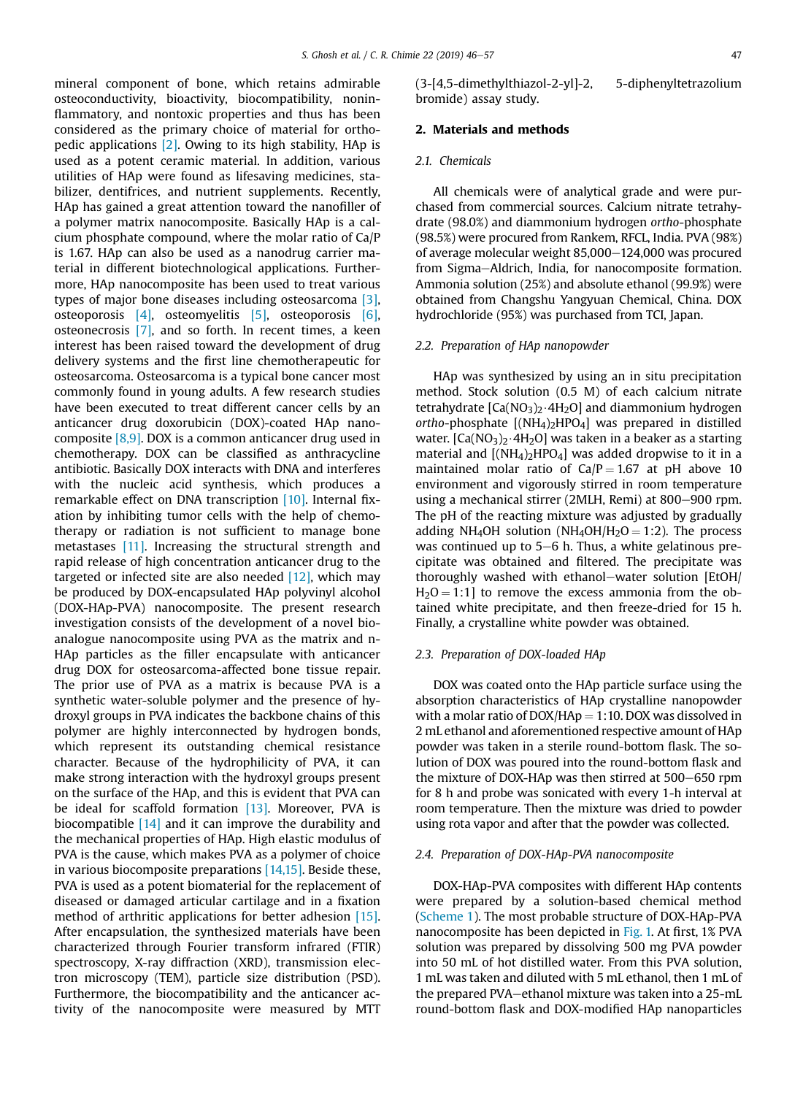mineral component of bone, which retains admirable osteoconductivity, bioactivity, biocompatibility, noninflammatory, and nontoxic properties and thus has been considered as the primary choice of material for orthopedic applications [2]. Owing to its high stability, HAp is used as a potent ceramic material. In addition, various utilities of HAp were found as lifesaving medicines, stabilizer, dentifrices, and nutrient supplements. Recently, HAp has gained a great attention toward the nanofiller of a polymer matrix nanocomposite. Basically HAp is a calcium phosphate compound, where the molar ratio of Ca/P is 1.67. HAp can also be used as a nanodrug carrier material in different biotechnological applications. Furthermore, HAp nanocomposite has been used to treat various types of major bone diseases including osteosarcoma [3], osteoporosis [4], osteomyelitis [5], osteoporosis [6], osteonecrosis [7], and so forth. In recent times, a keen interest has been raised toward the development of drug delivery systems and the first line chemotherapeutic for osteosarcoma. Osteosarcoma is a typical bone cancer most commonly found in young adults. A few research studies have been executed to treat different cancer cells by an anticancer drug doxorubicin (DOX)-coated HAp nanocomposite [8,9]. DOX is a common anticancer drug used in chemotherapy. DOX can be classified as anthracycline antibiotic. Basically DOX interacts with DNA and interferes with the nucleic acid synthesis, which produces a remarkable effect on DNA transcription [10]. Internal fixation by inhibiting tumor cells with the help of chemotherapy or radiation is not sufficient to manage bone metastases [11]. Increasing the structural strength and rapid release of high concentration anticancer drug to the targeted or infected site are also needed  $[12]$ , which may be produced by DOX-encapsulated HAp polyvinyl alcohol (DOX-HAp-PVA) nanocomposite. The present research investigation consists of the development of a novel bioanalogue nanocomposite using PVA as the matrix and n-HAp particles as the filler encapsulate with anticancer drug DOX for osteosarcoma-affected bone tissue repair. The prior use of PVA as a matrix is because PVA is a synthetic water-soluble polymer and the presence of hydroxyl groups in PVA indicates the backbone chains of this polymer are highly interconnected by hydrogen bonds, which represent its outstanding chemical resistance character. Because of the hydrophilicity of PVA, it can make strong interaction with the hydroxyl groups present on the surface of the HAp, and this is evident that PVA can be ideal for scaffold formation [13]. Moreover, PVA is biocompatible [14] and it can improve the durability and the mechanical properties of HAp. High elastic modulus of PVA is the cause, which makes PVA as a polymer of choice in various biocomposite preparations  $[14,15]$ . Beside these, PVA is used as a potent biomaterial for the replacement of diseased or damaged articular cartilage and in a fixation method of arthritic applications for better adhesion [15]. After encapsulation, the synthesized materials have been characterized through Fourier transform infrared (FTIR) spectroscopy, X-ray diffraction (XRD), transmission electron microscopy (TEM), particle size distribution (PSD). Furthermore, the biocompatibility and the anticancer activity of the nanocomposite were measured by MTT

(3-[4,5-dimethylthiazol-2-yl]-2, 5-diphenyltetrazolium bromide) assay study.

#### 2. Materials and methods

#### *2.1. Chemicals*

All chemicals were of analytical grade and were purchased from commercial sources. Calcium nitrate tetrahydrate (98.0%) and diammonium hydrogen *ortho*-phosphate (98.5%) were procured from Rankem, RFCL, India. PVA (98%) of average molecular weight 85,000-124,000 was procured from Sigma-Aldrich, India, for nanocomposite formation. Ammonia solution (25%) and absolute ethanol (99.9%) were obtained from Changshu Yangyuan Chemical, China. DOX hydrochloride (95%) was purchased from TCI, Japan.

#### *2.2. Preparation of HAp nanopowder*

HAp was synthesized by using an in situ precipitation method. Stock solution (0.5 M) of each calcium nitrate tetrahydrate  $[Ca(NO<sub>3</sub>)<sub>2</sub> · 4H<sub>2</sub>O]$  and diammonium hydrogen *ortho-phosphate*  $[(NH_4)_2HPO_4]$  was prepared in distilled water.  $[Ca(NO<sub>3</sub>)<sub>2</sub>·4H<sub>2</sub>O]$  was taken in a beaker as a starting material and  $[(NH_4)_2HPO_4]$  was added dropwise to it in a maintained molar ratio of  $Ca/P = 1.67$  at pH above 10 environment and vigorously stirred in room temperature using a mechanical stirrer (2MLH, Remi) at 800-900 rpm. The pH of the reacting mixture was adjusted by gradually adding NH<sub>4</sub>OH solution (NH<sub>4</sub>OH/H<sub>2</sub>O = 1:2). The process was continued up to  $5-6$  h. Thus, a white gelatinous precipitate was obtained and filtered. The precipitate was thoroughly washed with ethanol-water solution [EtOH]  $H_2O = 1:1$  to remove the excess ammonia from the obtained white precipitate, and then freeze-dried for 15 h. Finally, a crystalline white powder was obtained.

#### *2.3. Preparation of DOX-loaded HAp*

DOX was coated onto the HAp particle surface using the absorption characteristics of HAp crystalline nanopowder with a molar ratio of  $DOX/HAp = 1:10$ . DOX was dissolved in 2 mL ethanol and aforementioned respective amount of HAp powder was taken in a sterile round-bottom flask. The solution of DOX was poured into the round-bottom flask and the mixture of DOX-HAp was then stirred at  $500-650$  rpm for 8 h and probe was sonicated with every 1-h interval at room temperature. Then the mixture was dried to powder using rota vapor and after that the powder was collected.

#### *2.4. Preparation of DOX-HAp-PVA nanocomposite*

DOX-HAp-PVA composites with different HAp contents were prepared by a solution-based chemical method (Scheme 1). The most probable structure of DOX-HAp-PVA nanocomposite has been depicted in Fig. 1. At first, 1% PVA solution was prepared by dissolving 500 mg PVA powder into 50 mL of hot distilled water. From this PVA solution, 1 mL was taken and diluted with 5 mL ethanol, then 1 mL of the prepared PVA-ethanol mixture was taken into a 25-mL round-bottom flask and DOX-modified HAp nanoparticles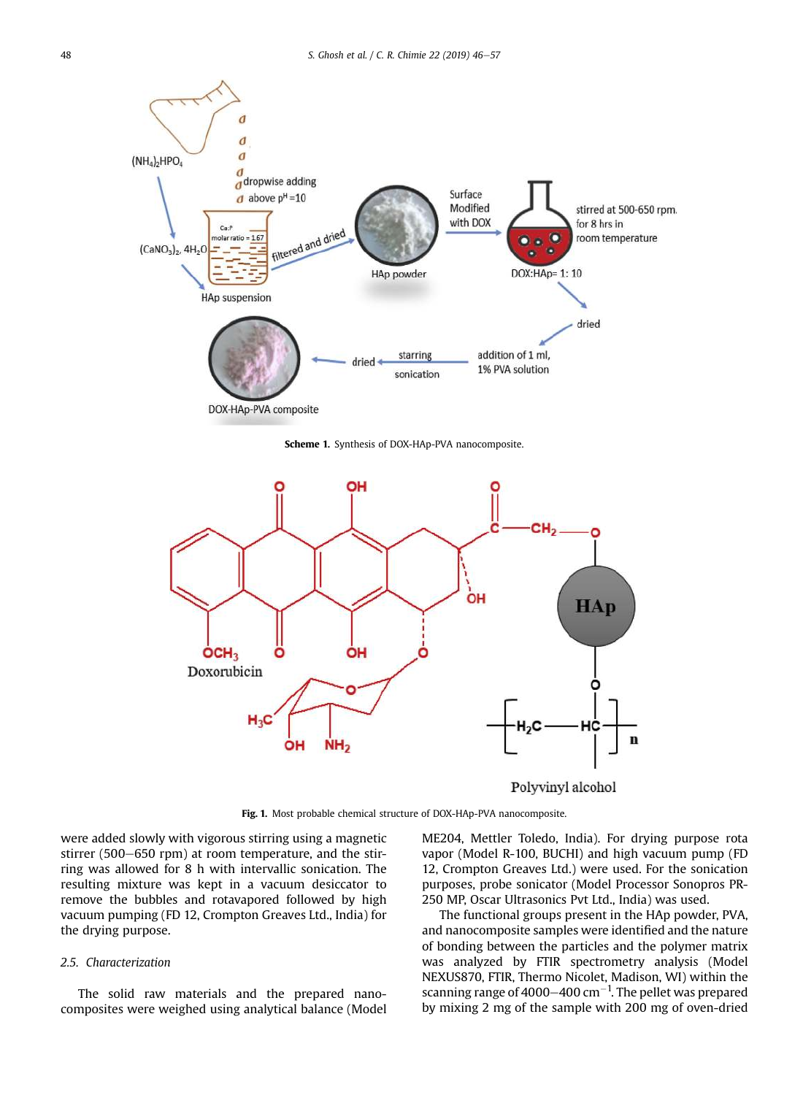

Scheme 1. Synthesis of DOX-HAp-PVA nanocomposite.



Fig. 1. Most probable chemical structure of DOX-HAp-PVA nanocomposite.

were added slowly with vigorous stirring using a magnetic stirrer (500 $-650$  rpm) at room temperature, and the stirring was allowed for 8 h with intervallic sonication. The resulting mixture was kept in a vacuum desiccator to remove the bubbles and rotavapored followed by high vacuum pumping (FD 12, Crompton Greaves Ltd., India) for the drying purpose.

#### *2.5. Characterization*

The solid raw materials and the prepared nanocomposites were weighed using analytical balance (Model

ME204, Mettler Toledo, India). For drying purpose rota vapor (Model R-100, BUCHI) and high vacuum pump (FD 12, Crompton Greaves Ltd.) were used. For the sonication purposes, probe sonicator (Model Processor Sonopros PR-250 MP, Oscar Ultrasonics Pvt Ltd., India) was used.

The functional groups present in the HAp powder, PVA, and nanocomposite samples were identified and the nature of bonding between the particles and the polymer matrix was analyzed by FTIR spectrometry analysis (Model NEXUS870, FTIR, Thermo Nicolet, Madison, WI) within the scanning range of 4000–400  $cm^{-1}$ . The pellet was prepared by mixing 2 mg of the sample with 200 mg of oven-dried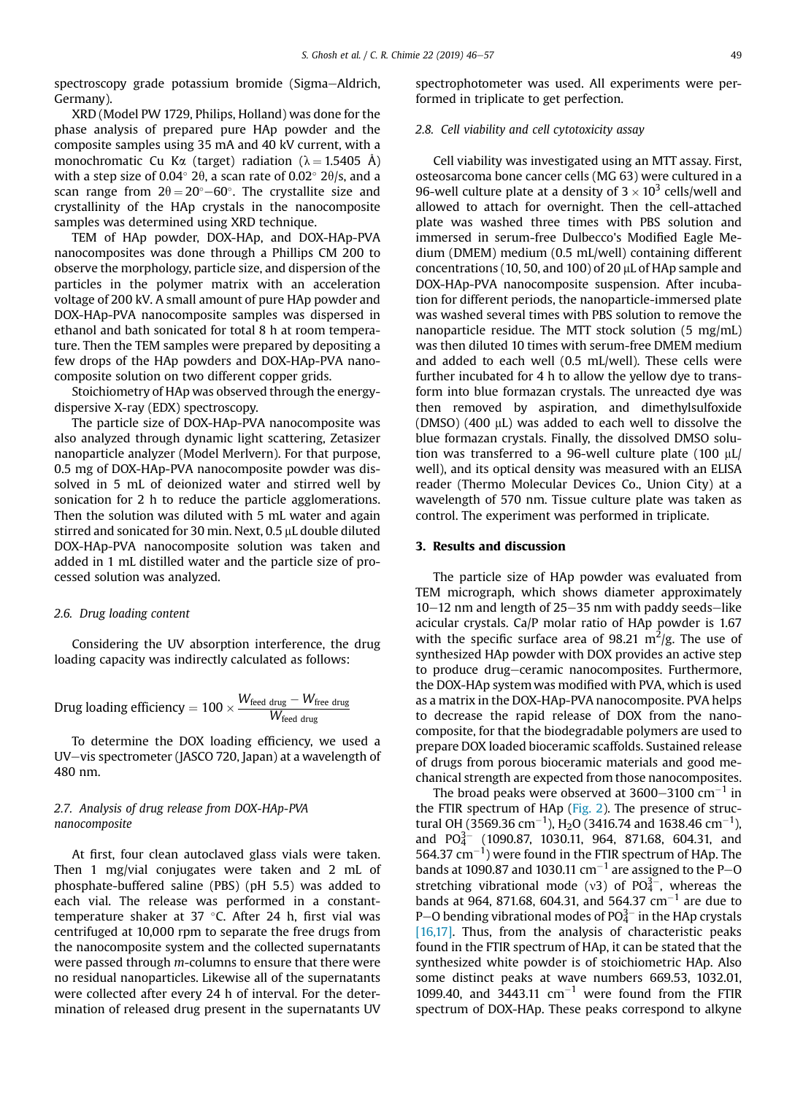spectroscopy grade potassium bromide (Sigma-Aldrich, Germany).

XRD (Model PW 1729, Philips, Holland) was done for the phase analysis of prepared pure HAp powder and the composite samples using 35 mA and 40 kV current, with a monochromatic Cu K $\alpha$  (target) radiation ( $\lambda = 1.5405$  Å) with a step size of 0.04 $\degree$  2 $\theta$ , a scan rate of 0.02 $\degree$  2 $\theta$ /s, and a scan range from  $2\theta = 20^{\circ} - 60^{\circ}$ . The crystallite size and crystallinity of the HAp crystals in the nanocomposite samples was determined using XRD technique.

TEM of HAp powder, DOX-HAp, and DOX-HAp-PVA nanocomposites was done through a Phillips CM 200 to observe the morphology, particle size, and dispersion of the particles in the polymer matrix with an acceleration voltage of 200 kV. A small amount of pure HAp powder and DOX-HAp-PVA nanocomposite samples was dispersed in ethanol and bath sonicated for total 8 h at room temperature. Then the TEM samples were prepared by depositing a few drops of the HAp powders and DOX-HAp-PVA nanocomposite solution on two different copper grids.

Stoichiometry of HAp was observed through the energydispersive X-ray (EDX) spectroscopy.

The particle size of DOX-HAp-PVA nanocomposite was also analyzed through dynamic light scattering, Zetasizer nanoparticle analyzer (Model Merlvern). For that purpose, 0.5 mg of DOX-HAp-PVA nanocomposite powder was dissolved in 5 mL of deionized water and stirred well by sonication for 2 h to reduce the particle agglomerations. Then the solution was diluted with 5 mL water and again stirred and sonicated for 30 min. Next, 0.5 µL double diluted DOX-HAp-PVA nanocomposite solution was taken and added in 1 mL distilled water and the particle size of processed solution was analyzed.

#### *2.6. Drug loading content*

Considering the UV absorption interference, the drug loading capacity was indirectly calculated as follows:

$$
\text{ Drug loading efficiency} = 100 \times \frac{W_{\text{feed drug}} - W_{\text{free drug}}}{W_{\text{feed drug}}}
$$

To determine the DOX loading efficiency, we used a UV-vis spectrometer (JASCO 720, Japan) at a wavelength of 480 nm.

## *2.7. Analysis of drug release from DOX-HAp-PVA nanocomposite*

At first, four clean autoclaved glass vials were taken. Then 1 mg/vial conjugates were taken and 2 mL of phosphate-buffered saline (PBS) (pH 5.5) was added to each vial. The release was performed in a constanttemperature shaker at 37  $\degree$ C. After 24 h, first vial was centrifuged at 10,000 rpm to separate the free drugs from the nanocomposite system and the collected supernatants were passed through *m*-columns to ensure that there were no residual nanoparticles. Likewise all of the supernatants were collected after every 24 h of interval. For the determination of released drug present in the supernatants UV spectrophotometer was used. All experiments were performed in triplicate to get perfection.

## *2.8. Cell viability and cell cytotoxicity assay*

Cell viability was investigated using an MTT assay. First, osteosarcoma bone cancer cells (MG 63) were cultured in a 96-well culture plate at a density of 3  $\times$  10<sup>3</sup> cells/well and allowed to attach for overnight. Then the cell-attached plate was washed three times with PBS solution and immersed in serum-free Dulbecco's Modified Eagle Medium (DMEM) medium (0.5 mL/well) containing different concentrations (10, 50, and 100) of 20  $\mu$ L of HAp sample and DOX-HAp-PVA nanocomposite suspension. After incubation for different periods, the nanoparticle-immersed plate was washed several times with PBS solution to remove the nanoparticle residue. The MTT stock solution (5 mg/mL) was then diluted 10 times with serum-free DMEM medium and added to each well (0.5 mL/well). These cells were further incubated for 4 h to allow the yellow dye to transform into blue formazan crystals. The unreacted dye was then removed by aspiration, and dimethylsulfoxide (DMSO)  $(400 \mu L)$  was added to each well to dissolve the blue formazan crystals. Finally, the dissolved DMSO solution was transferred to a 96-well culture plate (100  $\mu$ L/ well), and its optical density was measured with an ELISA reader (Thermo Molecular Devices Co., Union City) at a wavelength of 570 nm. Tissue culture plate was taken as control. The experiment was performed in triplicate.

#### 3. Results and discussion

The particle size of HAp powder was evaluated from TEM micrograph, which shows diameter approximately  $10-12$  nm and length of 25-35 nm with paddy seeds-like acicular crystals. Ca/P molar ratio of HAp powder is 1.67 with the specific surface area of 98.21  $\text{m}^2/\text{g}$ . The use of synthesized HAp powder with DOX provides an active step to produce drug-ceramic nanocomposites. Furthermore, the DOX-HAp system was modified with PVA, which is used as a matrix in the DOX-HAp-PVA nanocomposite. PVA helps to decrease the rapid release of DOX from the nanocomposite, for that the biodegradable polymers are used to prepare DOX loaded bioceramic scaffolds. Sustained release of drugs from porous bioceramic materials and good mechanical strength are expected from those nanocomposites.

The broad peaks were observed at  $3600 - 3100$   $cm^{-1}$  in the FTIR spectrum of HAp (Fig. 2). The presence of structural OH (3569.36 cm<sup>-1</sup>), H<sub>2</sub>O (3416.74 and 1638.46 cm<sup>-1</sup>), and  $PO_4^{3-}$  (1090.87, 1030.11, 964, 871.68, 604.31, and 564.37  $\text{cm}^{-1}$ ) were found in the FTIR spectrum of HAp. The bands at 1090.87 and 1030.11  $cm^{-1}$  are assigned to the P-O stretching vibrational mode (v3) of  $PO_4^{3-}$ , whereas the bands at 964, 871.68, 604.31, and 564.37  $cm^{-1}$  are due to P–O bending vibrational modes of  $PO_4^{3-}$  in the HAp crystals [16,17]. Thus, from the analysis of characteristic peaks found in the FTIR spectrum of HAp, it can be stated that the synthesized white powder is of stoichiometric HAp. Also some distinct peaks at wave numbers 669.53, 1032.01, 1099.40, and  $3443.11$   $cm^{-1}$  were found from the FTIR spectrum of DOX-HAp. These peaks correspond to alkyne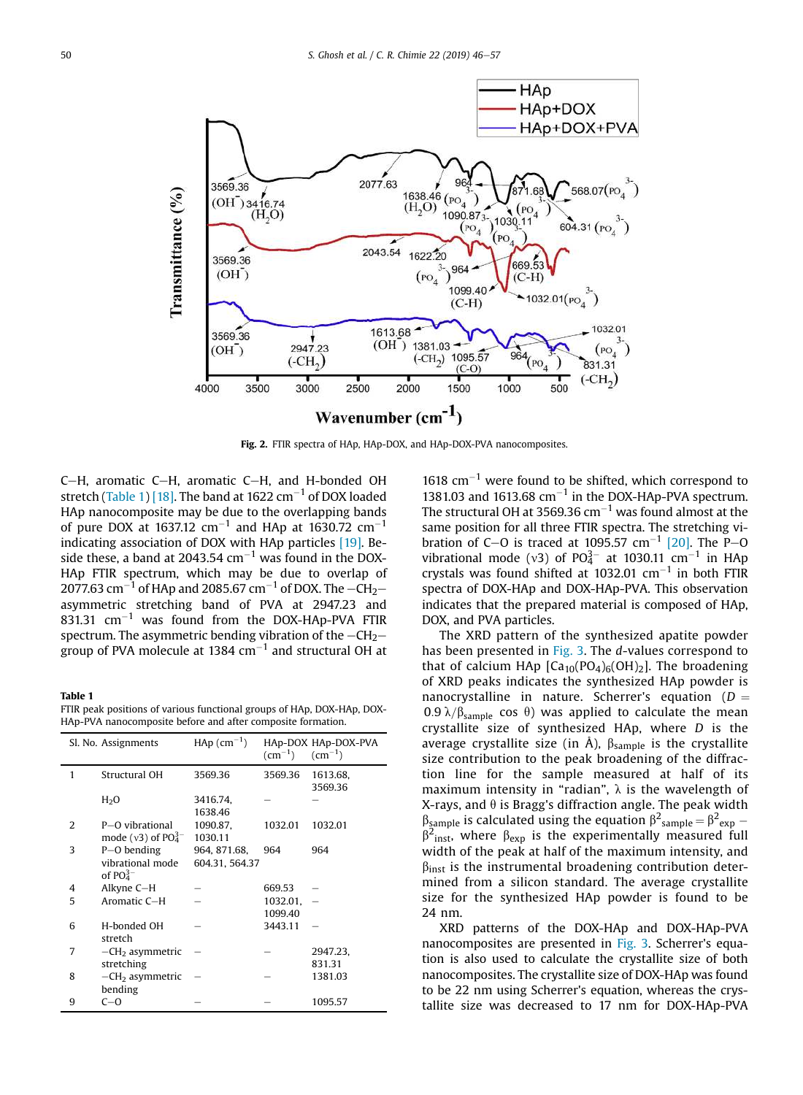

Fig. 2. FTIR spectra of HAp, HAp-DOX, and HAp-DOX-PVA nanocomposites.

C-H, aromatic C-H, aromatic C-H, and H-bonded OH stretch (Table 1) [18]. The band at 1622  $\rm cm^{-1}$  of DOX loaded HAp nanocomposite may be due to the overlapping bands of pure DOX at 1637.12  $\text{cm}^{-1}$  and HAp at 1630.72  $\text{cm}^{-1}$ indicating association of DOX with HAp particles [19]. Beside these, a band at 2043.54  $cm^{-1}$  was found in the DOX-HAp FTIR spectrum, which may be due to overlap of 2077.63  $\rm cm^{-1}$  of HAp and 2085.67  $\rm cm^{-1}$  of DOX. The  $\rm -CH_2\rm$ asymmetric stretching band of PVA at 2947.23 and  $831.31$   $cm^{-1}$  was found from the DOX-HAp-PVA FTIR spectrum. The asymmetric bending vibration of the  $-CH_2$ group of PVA molecule at 1384  $\rm cm^{-1}$  and structural OH at

Table 1

FTIR peak positions of various functional groups of HAp, DOX-HAp, DOX-HAp-PVA nanocomposite before and after composite formation.

|                | Sl. No. Assignments                           | $HAp$ (cm <sup>-1</sup> ) | $\rm (cm^{-1})$ | HAp-DOX HAp-DOX-PVA<br>$\rm (cm^{-1})$ |
|----------------|-----------------------------------------------|---------------------------|-----------------|----------------------------------------|
| 1              | Structural OH                                 | 3569.36                   | 3569.36         | 1613.68,                               |
|                |                                               |                           |                 | 3569.36                                |
|                | H <sub>2</sub> O                              | 3416.74.                  |                 |                                        |
|                |                                               | 1638.46                   |                 |                                        |
| $\overline{2}$ | P-O vibrational                               | 1090.87.                  | 1032.01         | 1032.01                                |
|                | mode ( $v3$ ) of PO <sub>4</sub> <sup>-</sup> | 1030.11                   |                 |                                        |
| 3              | $P$ –O bending                                | 964, 871.68,              | 964             | 964                                    |
|                | vibrational mode<br>of $PO_{4}^{3-}$          | 604.31, 564.37            |                 |                                        |
| 4              | Alkyne C-H                                    |                           | 669.53          |                                        |
| 5              | Aromatic C-H                                  |                           | 1032.01,        |                                        |
|                |                                               |                           | 1099.40         |                                        |
| 6              | H-bonded OH                                   |                           | 3443.11         |                                        |
|                | stretch                                       |                           |                 |                                        |
| 7              | $-CH2$ asymmetric                             |                           |                 | 2947.23,                               |
|                | stretching                                    |                           |                 | 831.31                                 |
| 8              | $-CH2$ asymmetric                             |                           |                 | 1381.03                                |
|                | bending                                       |                           |                 |                                        |
| 9              | $C - O$                                       |                           |                 | 1095.57                                |

 $1618$  cm<sup>-1</sup> were found to be shifted, which correspond to 1381.03 and 1613.68  $cm^{-1}$  in the DOX-HAp-PVA spectrum. The structural OH at 3569.36  $\rm cm^{-1}$  was found almost at the same position for all three FTIR spectra. The stretching vibration of C-O is traced at 1095.57  $cm^{-1}$  [20]. The P-O vibrational mode ( $v3$ ) of PO $_4^{3-}$  at 1030.11 cm<sup>-1</sup> in HAp crystals was found shifted at 1032.01  $cm^{-1}$  in both FTIR spectra of DOX-HAp and DOX-HAp-PVA. This observation indicates that the prepared material is composed of HAp, DOX, and PVA particles.

The XRD pattern of the synthesized apatite powder has been presented in Fig. 3. The *d*-values correspond to that of calcium HAp  $[Ca_{10}(PO_4)_6(OH)_2]$ . The broadening of XRD peaks indicates the synthesized HAp powder is nanocrystalline in nature. Scherrer's equation  $(D =$  $0.9 \lambda/\beta_{\text{sample}}$  cos  $\theta$ ) was applied to calculate the mean crystallite size of synthesized HAp, where *D* is the average crystallite size (in  $\AA$ ),  $\beta_{\text{sample}}$  is the crystallite size contribution to the peak broadening of the diffraction line for the sample measured at half of its maximum intensity in "radian",  $\lambda$  is the wavelength of X-rays, and  $\theta$  is Bragg's diffraction angle. The peak width  $\beta_{sample}$  is calculated using the equation  $\beta^2_{sample} = \beta^2_{exp}$  –  $\beta^2_{inst}$ , where  $\beta_{exp}$  is the experimentally measured full width of the peak at half of the maximum intensity, and  $\beta_{inst}$  is the instrumental broadening contribution determined from a silicon standard. The average crystallite size for the synthesized HAp powder is found to be 24 nm.

XRD patterns of the DOX-HAp and DOX-HAp-PVA nanocomposites are presented in Fig. 3. Scherrer's equation is also used to calculate the crystallite size of both nanocomposites. The crystallite size of DOX-HAp was found to be 22 nm using Scherrer's equation, whereas the crystallite size was decreased to 17 nm for DOX-HAp-PVA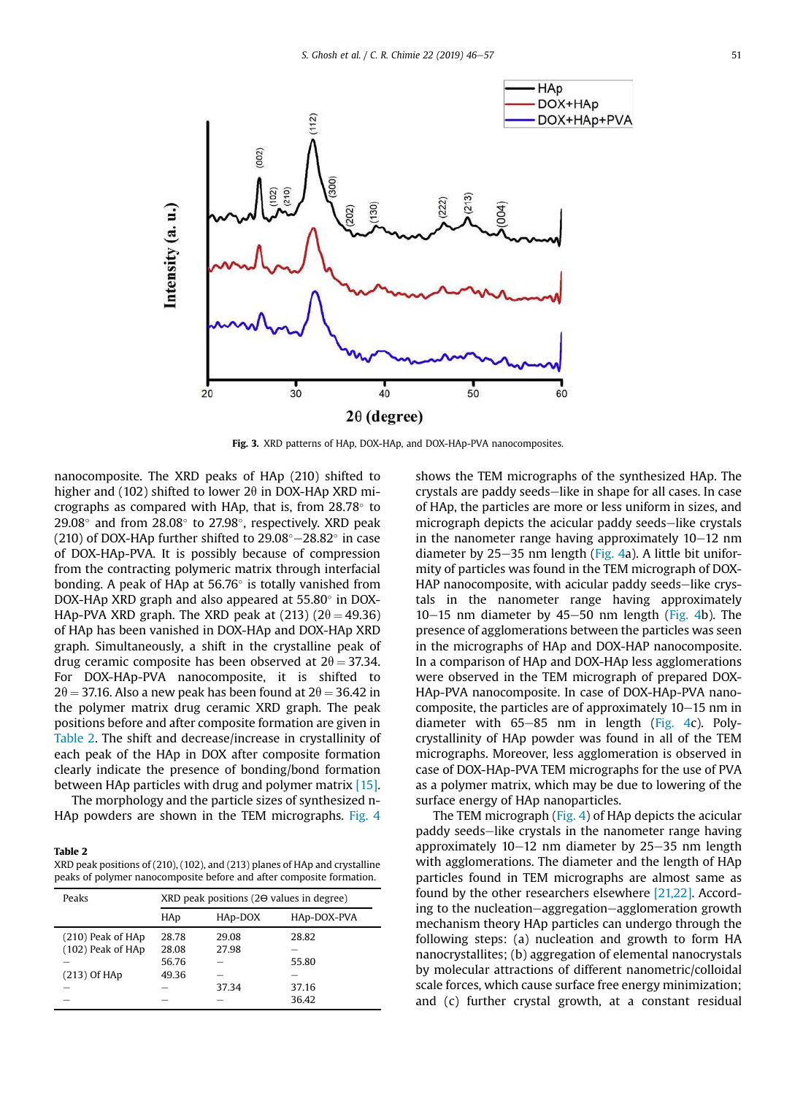

Fig. 3. XRD patterns of HAp, DOX-HAp, and DOX-HAp-PVA nanocomposites.

nanocomposite. The XRD peaks of HAp (210) shifted to higher and (102) shifted to lower  $2\theta$  in DOX-HAp XRD micrographs as compared with HAp, that is, from  $28.78^{\circ}$  to  $29.08^\circ$  and from  $28.08^\circ$  to  $27.98^\circ$ , respectively. XRD peak (210) of DOX-HAp further shifted to  $29.08^{\circ} - 28.82^{\circ}$  in case of DOX-HAp-PVA. It is possibly because of compression from the contracting polymeric matrix through interfacial bonding. A peak of HAp at 56.76° is totally vanished from DOX-HAp XRD graph and also appeared at  $55.80^\circ$  in DOX-HAp-PVA XRD graph. The XRD peak at  $(213)$   $(2\theta = 49.36)$ of HAp has been vanished in DOX-HAp and DOX-HAp XRD graph. Simultaneously, a shift in the crystalline peak of drug ceramic composite has been observed at  $2\theta = 37.34$ . For DOX-HAp-PVA nanocomposite, it is shifted to  $2\theta = 37.16$ . Also a new peak has been found at  $2\theta = 36.42$  in the polymer matrix drug ceramic XRD graph. The peak positions before and after composite formation are given in Table 2. The shift and decrease/increase in crystallinity of each peak of the HAp in DOX after composite formation clearly indicate the presence of bonding/bond formation between HAp particles with drug and polymer matrix [15].

The morphology and the particle sizes of synthesized n-HAp powders are shown in the TEM micrographs. Fig. 4

#### Table 2

XRD peak positions of (210), (102), and (213) planes of HAp and crystalline peaks of polymer nanocomposite before and after composite formation.

| Peaks             | $XRD$ peak positions (2 $\Theta$ values in degree) |         |             |  |
|-------------------|----------------------------------------------------|---------|-------------|--|
|                   | HAp                                                | HAp-DOX | HAp-DOX-PVA |  |
| (210) Peak of HAp | 28.78                                              | 29.08   | 28.82       |  |
| (102) Peak of HAp | 28.08                                              | 27.98   |             |  |
|                   | 56.76                                              |         | 55.80       |  |
| (213) Of HAp      | 49.36                                              |         |             |  |
|                   |                                                    | 37.34   | 37.16       |  |
|                   |                                                    |         | 36.42       |  |

shows the TEM micrographs of the synthesized HAp. The crystals are paddy seeds-like in shape for all cases. In case of HAp, the particles are more or less uniform in sizes, and micrograph depicts the acicular paddy seeds-like crystals in the nanometer range having approximately  $10-12$  nm diameter by  $25-35$  nm length (Fig. 4a). A little bit uniformity of particles was found in the TEM micrograph of DOX-HAP nanocomposite, with acicular paddy seeds-like crystals in the nanometer range having approximately  $10-15$  nm diameter by  $45-50$  nm length (Fig. 4b). The presence of agglomerations between the particles was seen in the micrographs of HAp and DOX-HAP nanocomposite. In a comparison of HAp and DOX-HAp less agglomerations were observed in the TEM micrograph of prepared DOX-HAp-PVA nanocomposite. In case of DOX-HAp-PVA nanocomposite, the particles are of approximately  $10-15$  nm in diameter with  $65-85$  nm in length (Fig. 4c). Polycrystallinity of HAp powder was found in all of the TEM micrographs. Moreover, less agglomeration is observed in case of DOX-HAp-PVA TEM micrographs for the use of PVA as a polymer matrix, which may be due to lowering of the surface energy of HAp nanoparticles.

The TEM micrograph (Fig. 4) of HAp depicts the acicular paddy seeds-like crystals in the nanometer range having approximately  $10-12$  nm diameter by  $25-35$  nm length with agglomerations. The diameter and the length of HAp particles found in TEM micrographs are almost same as found by the other researchers elsewhere [21,22]. According to the nucleation-aggregation-agglomeration growth mechanism theory HAp particles can undergo through the following steps: (a) nucleation and growth to form HA nanocrystallites; (b) aggregation of elemental nanocrystals by molecular attractions of different nanometric/colloidal scale forces, which cause surface free energy minimization; and (c) further crystal growth, at a constant residual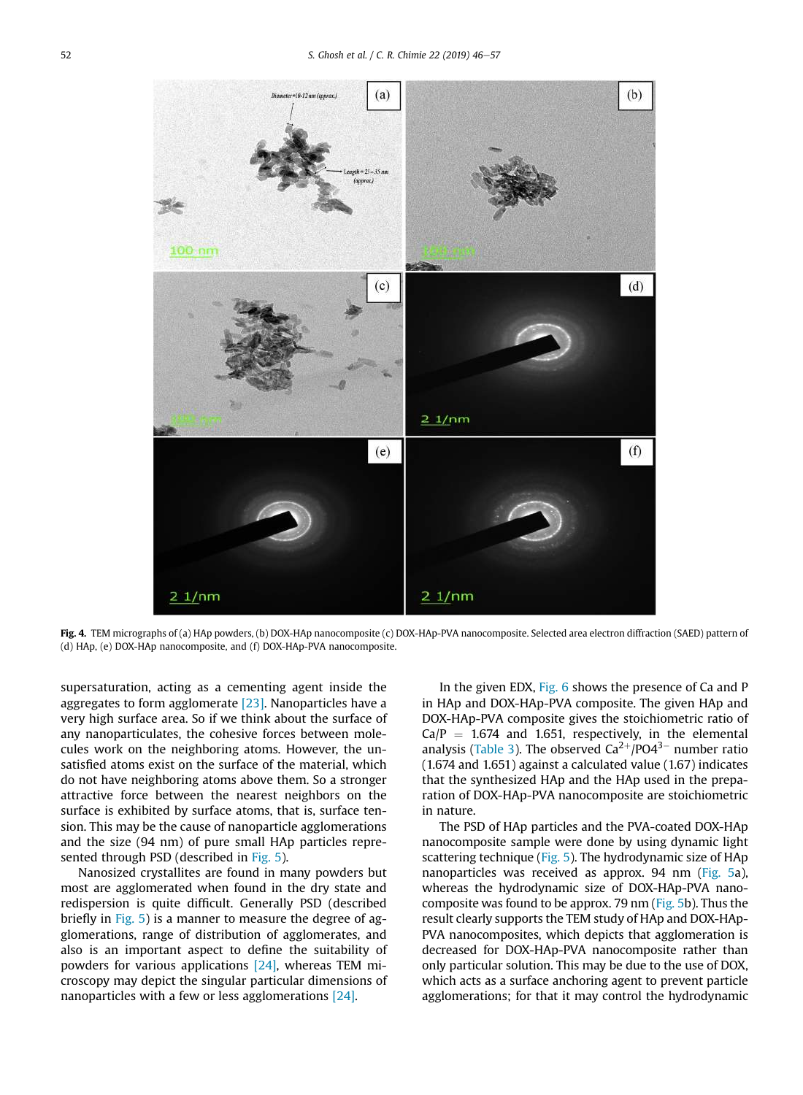

Fig. 4. TEM micrographs of (a) HAp powders, (b) DOX-HAp nanocomposite (c) DOX-HAp-PVA nanocomposite. Selected area electron diffraction (SAED) pattern of (d) HAp, (e) DOX-HAp nanocomposite, and (f) DOX-HAp-PVA nanocomposite.

supersaturation, acting as a cementing agent inside the aggregates to form agglomerate [23]. Nanoparticles have a very high surface area. So if we think about the surface of any nanoparticulates, the cohesive forces between molecules work on the neighboring atoms. However, the unsatisfied atoms exist on the surface of the material, which do not have neighboring atoms above them. So a stronger attractive force between the nearest neighbors on the surface is exhibited by surface atoms, that is, surface tension. This may be the cause of nanoparticle agglomerations and the size (94 nm) of pure small HAp particles represented through PSD (described in Fig. 5).

Nanosized crystallites are found in many powders but most are agglomerated when found in the dry state and redispersion is quite difficult. Generally PSD (described briefly in Fig. 5) is a manner to measure the degree of agglomerations, range of distribution of agglomerates, and also is an important aspect to define the suitability of powders for various applications [24], whereas TEM microscopy may depict the singular particular dimensions of nanoparticles with a few or less agglomerations [24].

In the given EDX, Fig. 6 shows the presence of Ca and P in HAp and DOX-HAp-PVA composite. The given HAp and DOX-HAp-PVA composite gives the stoichiometric ratio of  $Ca/P = 1.674$  and 1.651, respectively, in the elemental analysis (Table 3). The observed  $Ca^{2+}/PO4^{3-}$  number ratio (1.674 and 1.651) against a calculated value (1.67) indicates that the synthesized HAp and the HAp used in the preparation of DOX-HAp-PVA nanocomposite are stoichiometric in nature.

The PSD of HAp particles and the PVA-coated DOX-HAp nanocomposite sample were done by using dynamic light scattering technique (Fig. 5). The hydrodynamic size of HAp nanoparticles was received as approx. 94 nm (Fig. 5a), whereas the hydrodynamic size of DOX-HAp-PVA nanocomposite was found to be approx. 79 nm (Fig. 5b). Thus the result clearly supports the TEM study of HAp and DOX-HAp-PVA nanocomposites, which depicts that agglomeration is decreased for DOX-HAp-PVA nanocomposite rather than only particular solution. This may be due to the use of DOX, which acts as a surface anchoring agent to prevent particle agglomerations; for that it may control the hydrodynamic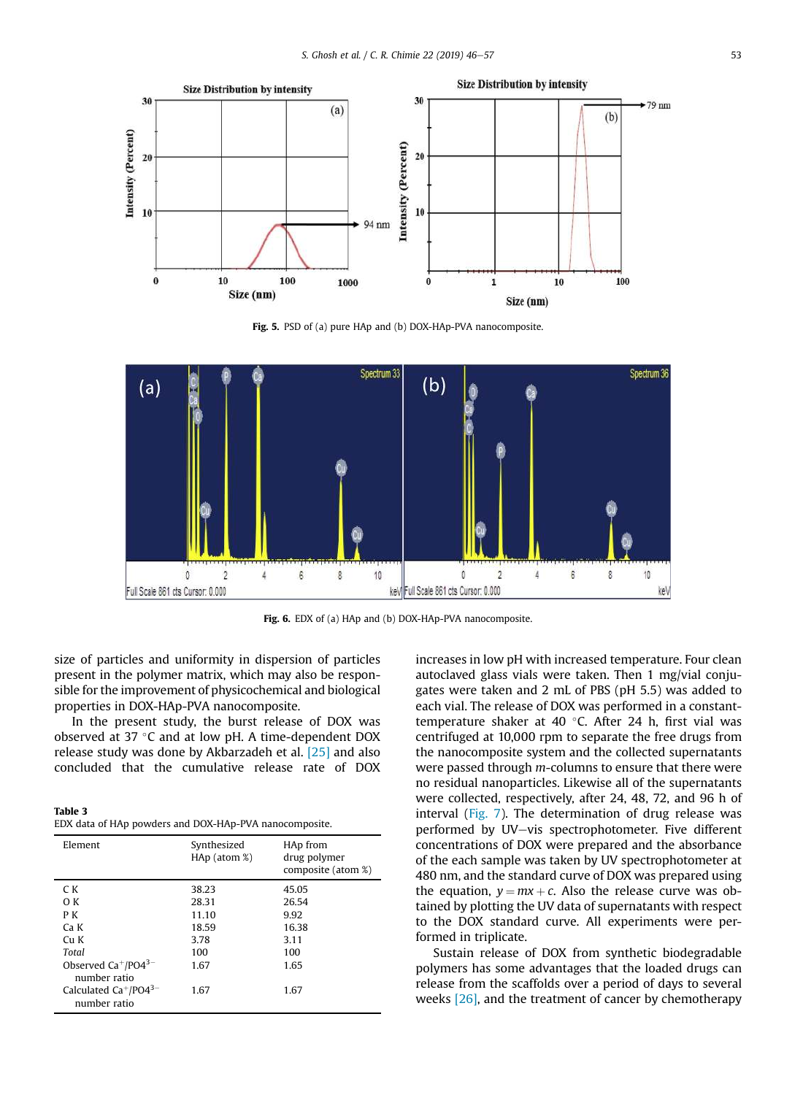

Fig. 5. PSD of (a) pure HAp and (b) DOX-HAp-PVA nanocomposite.



Fig. 6. EDX of (a) HAp and (b) DOX-HAp-PVA nanocomposite.

size of particles and uniformity in dispersion of particles present in the polymer matrix, which may also be responsible for the improvement of physicochemical and biological properties in DOX-HAp-PVA nanocomposite.

In the present study, the burst release of DOX was observed at 37 $\degree$ C and at low pH. A time-dependent DOX release study was done by Akbarzadeh et al. [25] and also concluded that the cumulative release rate of DOX

| Table 3 |                                                        |
|---------|--------------------------------------------------------|
|         | EDX data of HAp powders and DOX-HAp-PVA nanocomposite. |

| Element                                    | Synthesized<br>$HAp$ (atom $%)$ | HAp from<br>drug polymer<br>composite (atom %) |
|--------------------------------------------|---------------------------------|------------------------------------------------|
| C K                                        | 38.23                           | 45.05                                          |
| O K                                        | 28.31                           | 26.54                                          |
| P K                                        | 11.10                           | 9.92                                           |
| Ca K                                       | 18.59                           | 16.38                                          |
| Cu K                                       | 3.78                            | 3.11                                           |
| Total                                      | 100                             | 100                                            |
| Observed $Ca^+/PO4^{3-}$<br>number ratio   | 1.67                            | 1.65                                           |
| Calculated $Ca^+/PO4^{3-}$<br>number ratio | 1.67                            | 1.67                                           |

increases in low pH with increased temperature. Four clean autoclaved glass vials were taken. Then 1 mg/vial conjugates were taken and 2 mL of PBS (pH 5.5) was added to each vial. The release of DOX was performed in a constanttemperature shaker at 40 $^{\circ}$ C. After 24 h, first vial was centrifuged at 10,000 rpm to separate the free drugs from the nanocomposite system and the collected supernatants were passed through *m*-columns to ensure that there were no residual nanoparticles. Likewise all of the supernatants were collected, respectively, after 24, 48, 72, and 96 h of interval (Fig. 7). The determination of drug release was performed by UV-vis spectrophotometer. Five different concentrations of DOX were prepared and the absorbance of the each sample was taken by UV spectrophotometer at 480 nm, and the standard curve of DOX was prepared using the equation,  $y = mx + c$ . Also the release curve was obtained by plotting the UV data of supernatants with respect to the DOX standard curve. All experiments were performed in triplicate.

Sustain release of DOX from synthetic biodegradable polymers has some advantages that the loaded drugs can release from the scaffolds over a period of days to several weeks [26], and the treatment of cancer by chemotherapy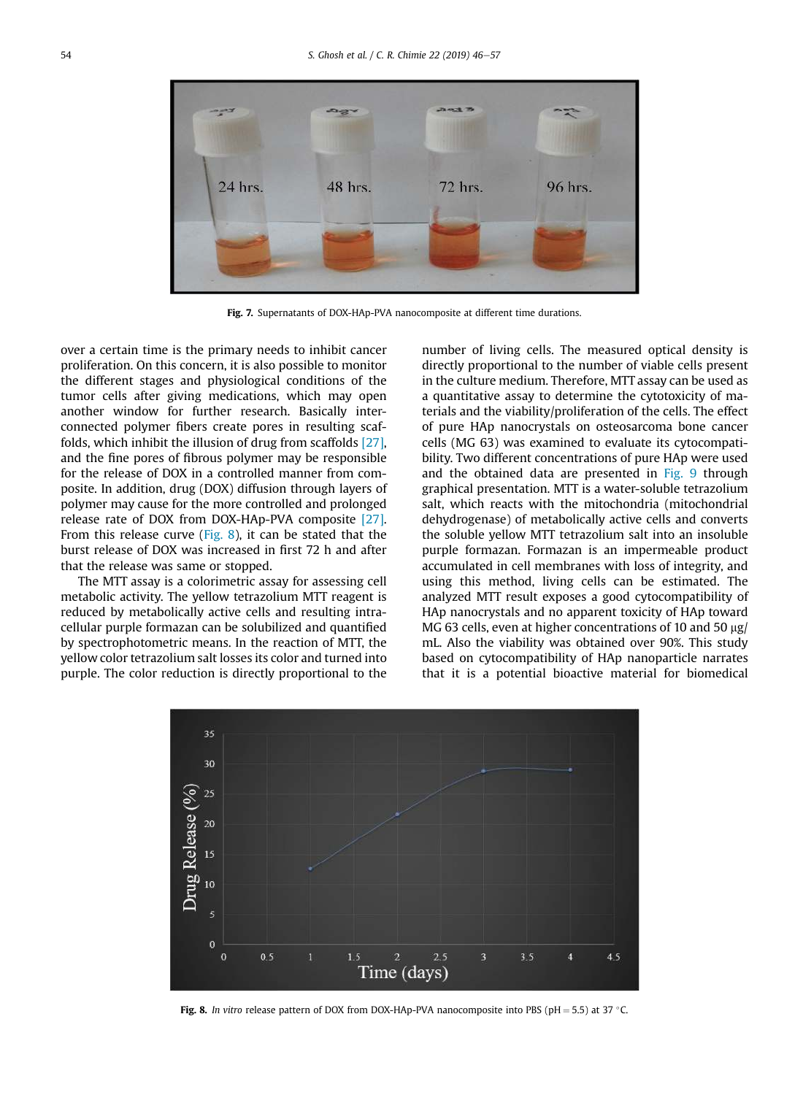

Fig. 7. Supernatants of DOX-HAp-PVA nanocomposite at different time durations.

over a certain time is the primary needs to inhibit cancer proliferation. On this concern, it is also possible to monitor the different stages and physiological conditions of the tumor cells after giving medications, which may open another window for further research. Basically interconnected polymer fibers create pores in resulting scaffolds, which inhibit the illusion of drug from scaffolds [27], and the fine pores of fibrous polymer may be responsible for the release of DOX in a controlled manner from composite. In addition, drug (DOX) diffusion through layers of polymer may cause for the more controlled and prolonged release rate of DOX from DOX-HAp-PVA composite [27]. From this release curve  $(Fig. 8)$ , it can be stated that the burst release of DOX was increased in first 72 h and after that the release was same or stopped.

The MTT assay is a colorimetric assay for assessing cell metabolic activity. The yellow tetrazolium MTT reagent is reduced by metabolically active cells and resulting intracellular purple formazan can be solubilized and quantified by spectrophotometric means. In the reaction of MTT, the yellow color tetrazolium salt losses its color and turned into purple. The color reduction is directly proportional to the

number of living cells. The measured optical density is directly proportional to the number of viable cells present in the culture medium. Therefore, MTT assay can be used as a quantitative assay to determine the cytotoxicity of materials and the viability/proliferation of the cells. The effect of pure HAp nanocrystals on osteosarcoma bone cancer cells (MG 63) was examined to evaluate its cytocompatibility. Two different concentrations of pure HAp were used and the obtained data are presented in Fig. 9 through graphical presentation. MTT is a water-soluble tetrazolium salt, which reacts with the mitochondria (mitochondrial dehydrogenase) of metabolically active cells and converts the soluble yellow MTT tetrazolium salt into an insoluble purple formazan. Formazan is an impermeable product accumulated in cell membranes with loss of integrity, and using this method, living cells can be estimated. The analyzed MTT result exposes a good cytocompatibility of HAp nanocrystals and no apparent toxicity of HAp toward MG 63 cells, even at higher concentrations of 10 and 50  $\mu$ g/ mL. Also the viability was obtained over 90%. This study based on cytocompatibility of HAp nanoparticle narrates that it is a potential bioactive material for biomedical



Fig. 8. *In vitro* release pattern of DOX from DOX-HAp-PVA nanocomposite into PBS (pH = 5.5) at 37 °C.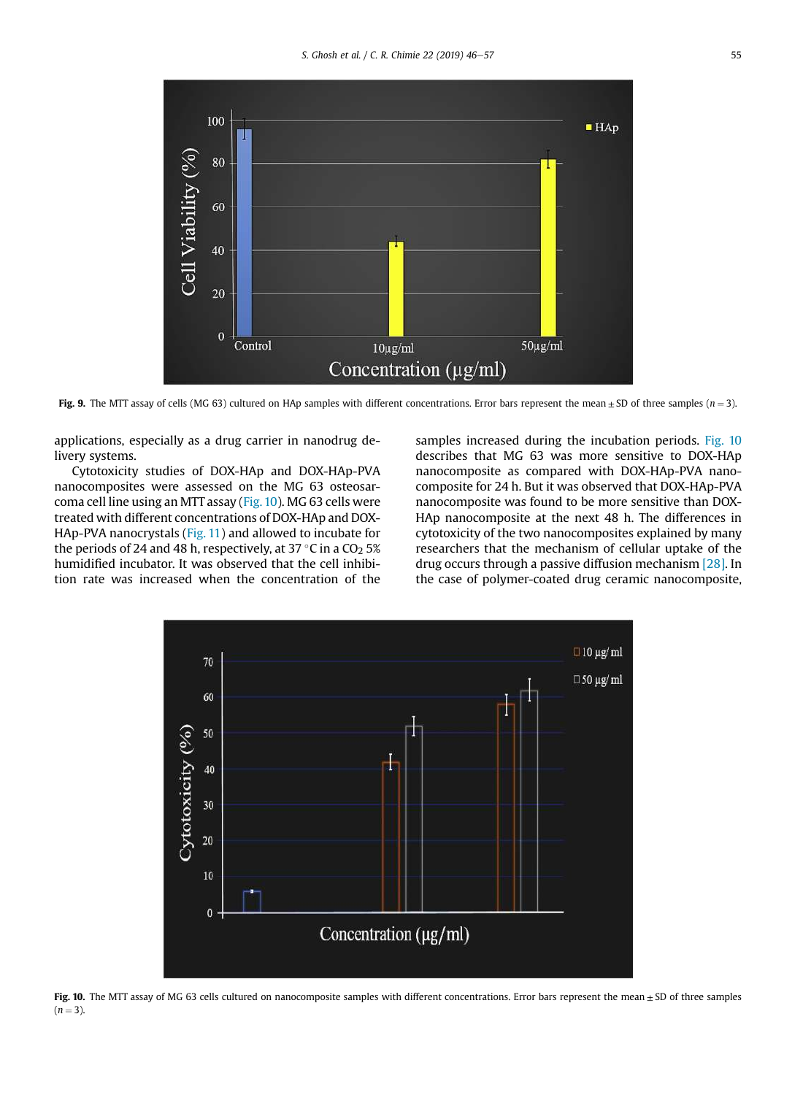

Fig. 9. The MTT assay of cells (MG 63) cultured on HAp samples with different concentrations. Error bars represent the mean  $\pm$  SD of three samples (*n* = 3).

applications, especially as a drug carrier in nanodrug delivery systems.

Cytotoxicity studies of DOX-HAp and DOX-HAp-PVA nanocomposites were assessed on the MG 63 osteosarcoma cell line using an MTT assay (Fig. 10). MG 63 cells were treated with different concentrations of DOX-HAp and DOX-HAp-PVA nanocrystals (Fig. 11) and allowed to incubate for the periods of 24 and 48 h, respectively, at 37  $\degree$ C in a CO<sub>2</sub> 5% humidified incubator. It was observed that the cell inhibition rate was increased when the concentration of the samples increased during the incubation periods. Fig. 10 describes that MG 63 was more sensitive to DOX-HAp nanocomposite as compared with DOX-HAp-PVA nanocomposite for 24 h. But it was observed that DOX-HAp-PVA nanocomposite was found to be more sensitive than DOX-HAp nanocomposite at the next 48 h. The differences in cytotoxicity of the two nanocomposites explained by many researchers that the mechanism of cellular uptake of the drug occurs through a passive diffusion mechanism [28]. In the case of polymer-coated drug ceramic nanocomposite,



Fig. 10. The MTT assay of MG 63 cells cultured on nanocomposite samples with different concentrations. Error bars represent the mean ± SD of three samples  $(n = 3)$ .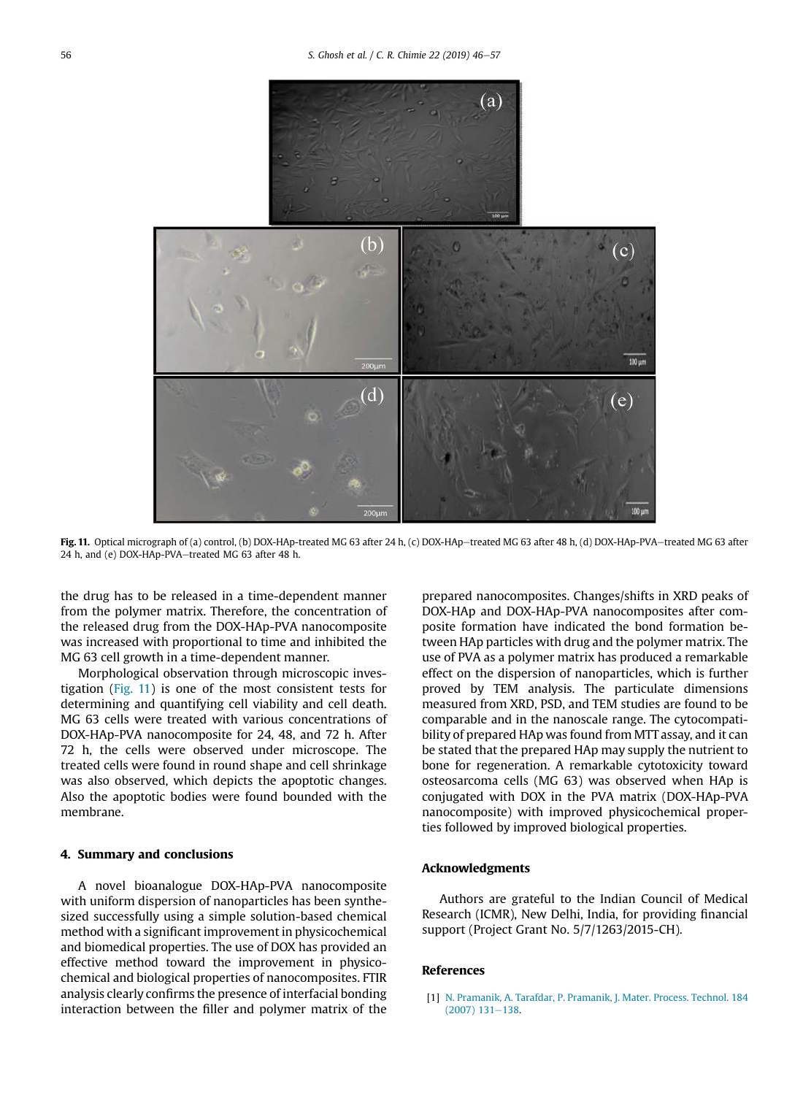

Fig. 11. Optical micrograph of (a) control, (b) DOX-HAp-treated MG 63 after 24 h, (c) DOX-HAp-treated MG 63 after 48 h, (d) DOX-HAp-PVA-treated MG 63 after 24 h, and (e) DOX-HAp-PVA-treated MG 63 after 48 h.

the drug has to be released in a time-dependent manner from the polymer matrix. Therefore, the concentration of the released drug from the DOX-HAp-PVA nanocomposite was increased with proportional to time and inhibited the MG 63 cell growth in a time-dependent manner.

Morphological observation through microscopic investigation (Fig. 11) is one of the most consistent tests for determining and quantifying cell viability and cell death. MG 63 cells were treated with various concentrations of DOX-HAp-PVA nanocomposite for 24, 48, and 72 h. After 72 h, the cells were observed under microscope. The treated cells were found in round shape and cell shrinkage was also observed, which depicts the apoptotic changes. Also the apoptotic bodies were found bounded with the membrane.

# 4. Summary and conclusions

A novel bioanalogue DOX-HAp-PVA nanocomposite with uniform dispersion of nanoparticles has been synthesized successfully using a simple solution-based chemical method with a significant improvement in physicochemical and biomedical properties. The use of DOX has provided an effective method toward the improvement in physicochemical and biological properties of nanocomposites. FTIR analysis clearly confirms the presence of interfacial bonding interaction between the filler and polymer matrix of the

prepared nanocomposites. Changes/shifts in XRD peaks of DOX-HAp and DOX-HAp-PVA nanocomposites after composite formation have indicated the bond formation between HAp particles with drug and the polymer matrix. The use of PVA as a polymer matrix has produced a remarkable effect on the dispersion of nanoparticles, which is further proved by TEM analysis. The particulate dimensions measured from XRD, PSD, and TEM studies are found to be comparable and in the nanoscale range. The cytocompatibility of prepared HAp was found from MTT assay, and it can be stated that the prepared HAp may supply the nutrient to bone for regeneration. A remarkable cytotoxicity toward osteosarcoma cells (MG 63) was observed when HAp is conjugated with DOX in the PVA matrix (DOX-HAp-PVA nanocomposite) with improved physicochemical properties followed by improved biological properties.

### Acknowledgments

Authors are grateful to the Indian Council of Medical Research (ICMR), New Delhi, India, for providing financial support (Project Grant No. 5/7/1263/2015-CH).

## References

[1] N. Pramanik, A. Tarafdar, P. Pramanik, J. Mater. Process. Technol. 184  $(2007)$  131-138.